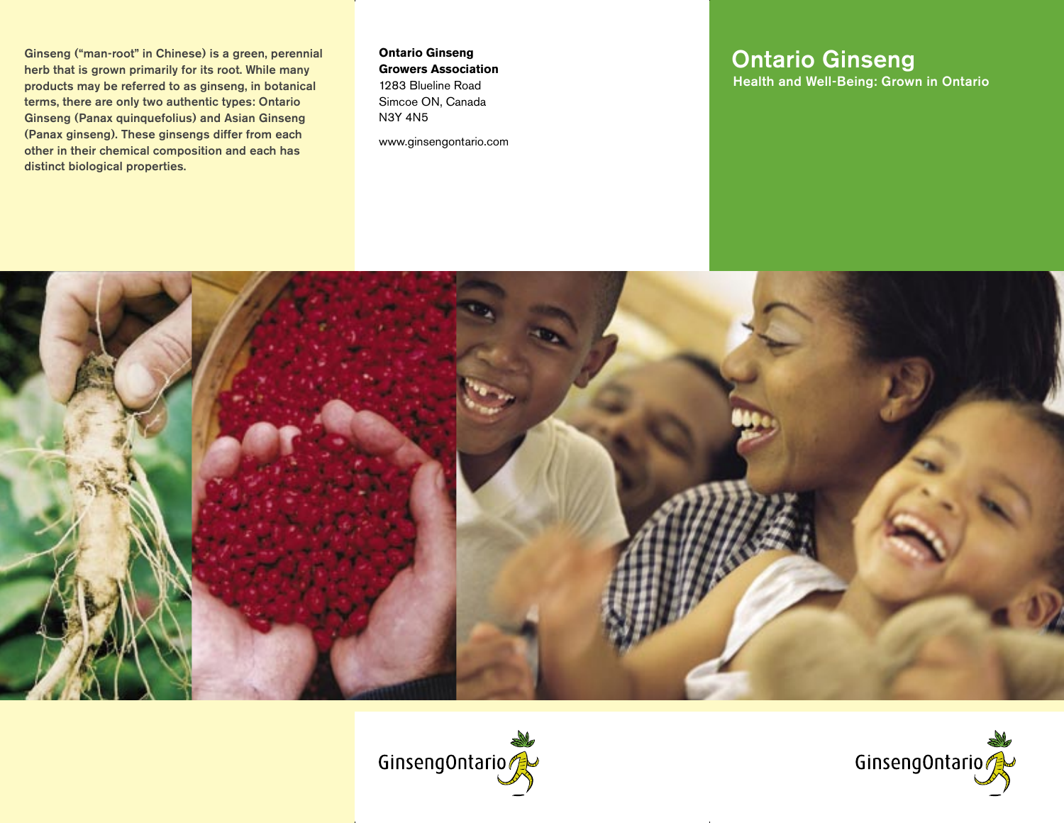Ginseng ("man-root" in Chinese) is a green, perennial herb that is grown primarily for its root. While many products may be referred to as ginseng, in botanical terms, there are only two authentic types: Ontario Ginseng (Panax quinquefolius) and Asian Ginseng (Panax ginseng). These ginsengs differ from each other in their chemical composition and each has distinct biological properties.

**Ontario Ginseng Growers Association** 1283 Blueline Road Simcoe ON, Canada N3Y 4N5

www.ginsengontario.com

# Ontario Ginseng

Health and Well-Being: Grown in Ontario